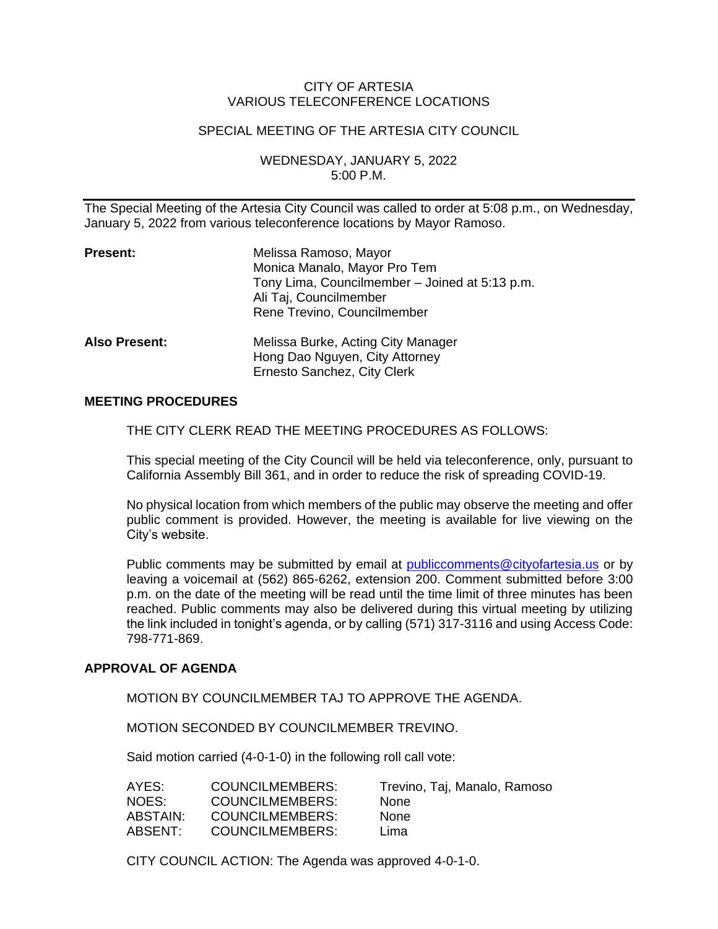# CITY OF ARTESIA VARIOUS TELECONFERENCE LOCATIONS

### SPECIAL MEETING OF THE ARTESIA CITY COUNCIL

WEDNESDAY, JANUARY 5, 2022 5:00 P.M.

The Special Meeting of the Artesia City Council was called to order at 5:08 p.m., on Wednesday, January 5, 2022 from various teleconference locations by Mayor Ramoso.

| <b>Present:</b>      | Melissa Ramoso, Mayor<br>Monica Manalo, Mayor Pro Tem<br>Tony Lima, Councilmember - Joined at 5:13 p.m.<br>Ali Taj, Councilmember<br>Rene Trevino, Councilmember |
|----------------------|------------------------------------------------------------------------------------------------------------------------------------------------------------------|
| <b>Also Present:</b> | Melissa Burke, Acting City Manager<br>Hong Dao Nguyen, City Attorney<br>Ernesto Sanchez, City Clerk                                                              |

## **MEETING PROCEDURES**

THE CITY CLERK READ THE MEETING PROCEDURES AS FOLLOWS:

This special meeting of the City Council will be held via teleconference, only, pursuant to California Assembly Bill 361, and in order to reduce the risk of spreading COVID-19.

No physical location from which members of the public may observe the meeting and offer public comment is provided. However, the meeting is available for live viewing on the City's website.

Public comments may be submitted by email at [publiccomments@cityofartesia.us](mailto:publiccomments@cityofartesia.us) or by leaving a voicemail at (562) 865-6262, extension 200. Comment submitted before 3:00 p.m. on the date of the meeting will be read until the time limit of three minutes has been reached. Public comments may also be delivered during this virtual meeting by utilizing the link included in tonight's agenda, or by calling (571) 317-3116 and using Access Code: 798-771-869.

### **APPROVAL OF AGENDA**

MOTION BY COUNCILMEMBER TAJ TO APPROVE THE AGENDA.

MOTION SECONDED BY COUNCILMEMBER TREVINO.

Said motion carried (4-0-1-0) in the following roll call vote:

| AYES:    | COUNCILMEMBERS:        | Trevino, Taj, Manalo, Ramoso |
|----------|------------------------|------------------------------|
| NOES:    | <b>COUNCILMEMBERS:</b> | <b>None</b>                  |
| ABSTAIN: | <b>COUNCILMEMBERS:</b> | <b>None</b>                  |
| ABSENT:  | <b>COUNCILMEMBERS:</b> | Lima                         |

CITY COUNCIL ACTION: The Agenda was approved 4-0-1-0.